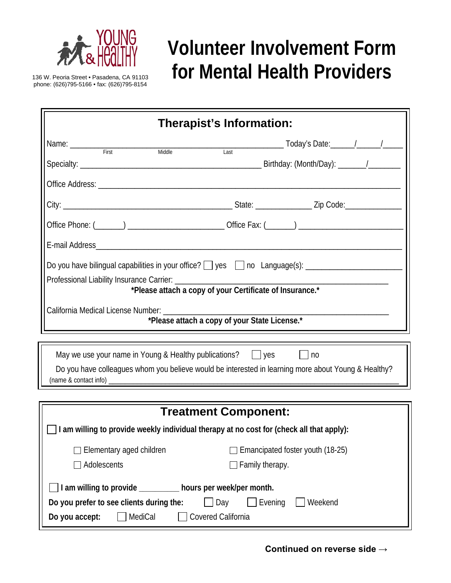

## **Volunteer Involvement Form**  136 W. Peoria Street • Pasadena, CA 91103 **for Mental Health Providers**

phone: (626)795-5166 • fax: (626)795-8154

| Therapist's Information:                                                                                                                                                                                         |                                                     |  |  |  |  |
|------------------------------------------------------------------------------------------------------------------------------------------------------------------------------------------------------------------|-----------------------------------------------------|--|--|--|--|
| Middle                                                                                                                                                                                                           |                                                     |  |  |  |  |
|                                                                                                                                                                                                                  |                                                     |  |  |  |  |
|                                                                                                                                                                                                                  |                                                     |  |  |  |  |
|                                                                                                                                                                                                                  |                                                     |  |  |  |  |
|                                                                                                                                                                                                                  |                                                     |  |  |  |  |
|                                                                                                                                                                                                                  |                                                     |  |  |  |  |
| Professional Liability Insurance Carrier: _________<br>*Please attach a copy of your Certificate of Insurance.*<br>California Medical License Number: _________<br>*Please attach a copy of your State License.* |                                                     |  |  |  |  |
| May we use your name in Young & Healthy publications? $\Box$ yes $\Box$ no<br>Do you have colleagues whom you believe would be interested in learning more about Young & Healthy?                                |                                                     |  |  |  |  |
|                                                                                                                                                                                                                  |                                                     |  |  |  |  |
| <b>Treatment Component:</b><br>$\rfloor$ I am willing to provide weekly individual therapy at no cost for (check all that apply):                                                                                |                                                     |  |  |  |  |
| Elementary aged children<br>Adolescents                                                                                                                                                                          | Emancipated foster youth (18-25)<br>Family therapy. |  |  |  |  |
| I am willing to provide ________ hours per week/per month.<br>Do you prefer to see clients during the:<br>Day<br>Evening<br>Weekend<br>MediCal<br>Covered California<br>Do you accept:                           |                                                     |  |  |  |  |